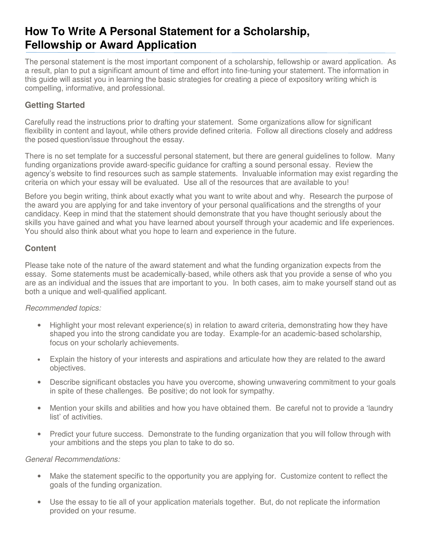# **How To Write A Personal Statement for a Scholarship, Fellowship or Award Application**

The personal statement is the most important component of a scholarship, fellowship or award application. As a result, plan to put a significant amount of time and effort into fine-tuning your statement. The information in this guide will assist you in learning the basic strategies for creating a piece of expository writing which is compelling, informative, and professional.

# **Getting Started**

Carefully read the instructions prior to drafting your statement. Some organizations allow for significant flexibility in content and layout, while others provide defined criteria. Follow all directions closely and address the posed question/issue throughout the essay.

There is no set template for a successful personal statement, but there are general guidelines to follow. Many funding organizations provide award-specific guidance for crafting a sound personal essay. Review the agency's website to find resources such as sample statements. Invaluable information may exist regarding the criteria on which your essay will be evaluated. Use all of the resources that are available to you!

Before you begin writing, think about exactly what you want to write about and why. Research the purpose of the award you are applying for and take inventory of your personal qualifications and the strengths of your candidacy. Keep in mind that the statement should demonstrate that you have thought seriously about the skills you have gained and what you have learned about yourself through your academic and life experiences. You should also think about what you hope to learn and experience in the future.

## **Content**

Please take note of the nature of the award statement and what the funding organization expects from the essay. Some statements must be academically-based, while others ask that you provide a sense of who you are as an individual and the issues that are important to you. In both cases, aim to make yourself stand out as both a unique and well-qualified applicant.

### Recommended topics:

- Highlight your most relevant experience(s) in relation to award criteria, demonstrating how they have shaped you into the strong candidate you are today. Example-for an academic-based scholarship, focus on your scholarly achievements.
- Explain the history of your interests and aspirations and articulate how they are related to the award objectives.
- Describe significant obstacles you have you overcome, showing unwavering commitment to your goals in spite of these challenges. Be positive; do not look for sympathy.
- Mention your skills and abilities and how you have obtained them. Be careful not to provide a 'laundry list' of activities.
- Predict your future success. Demonstrate to the funding organization that you will follow through with your ambitions and the steps you plan to take to do so.

#### General Recommendations:

- Make the statement specific to the opportunity you are applying for. Customize content to reflect the goals of the funding organization.
- Use the essay to tie all of your application materials together. But, do not replicate the information provided on your resume.